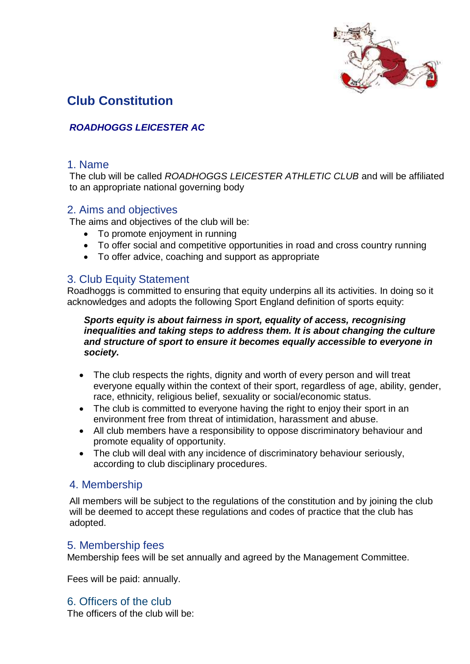

# **Club Constitution**

## *ROADHOGGS LEICESTER AC*

#### 1. Name

The club will be called *ROADHOGGS LEICESTER ATHLETIC CLUB* and will be affiliated to an appropriate national governing body

#### 2. Aims and objectives

The aims and objectives of the club will be:

- To promote enjoyment in running
- To offer social and competitive opportunities in road and cross country running
- To offer advice, coaching and support as appropriate

#### 3. Club Equity Statement

Roadhoggs is committed to ensuring that equity underpins all its activities. In doing so it acknowledges and adopts the following Sport England definition of sports equity:

#### *Sports equity is about fairness in sport, equality of access, recognising inequalities and taking steps to address them. It is about changing the culture and structure of sport to ensure it becomes equally accessible to everyone in society.*

- The club respects the rights, dignity and worth of every person and will treat everyone equally within the context of their sport, regardless of age, ability, gender, race, ethnicity, religious belief, sexuality or social/economic status.
- The club is committed to everyone having the right to enjoy their sport in an environment free from threat of intimidation, harassment and abuse.
- All club members have a responsibility to oppose discriminatory behaviour and promote equality of opportunity.
- The club will deal with any incidence of discriminatory behaviour seriously, according to club disciplinary procedures.

## 4. Membership

All members will be subject to the regulations of the constitution and by joining the club will be deemed to accept these regulations and codes of practice that the club has adopted.

#### 5. Membership fees

Membership fees will be set annually and agreed by the Management Committee.

Fees will be paid: annually.

## 6. Officers of the club

The officers of the club will be: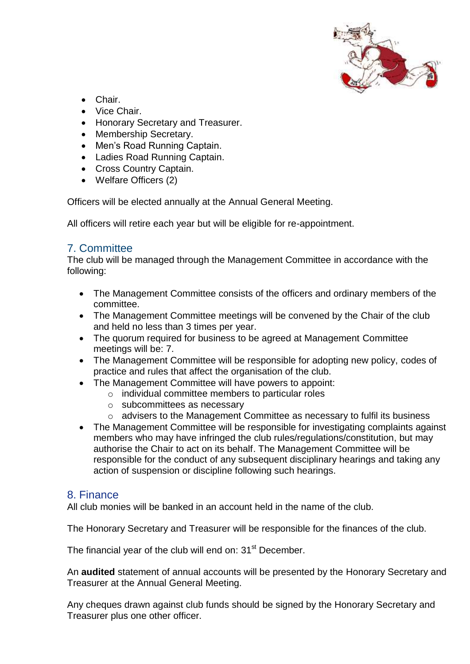

- Chair.
- Vice Chair
- Honorary Secretary and Treasurer.
- Membership Secretary.
- Men's Road Running Captain.
- Ladies Road Running Captain.
- Cross Country Captain.
- Welfare Officers (2)

Officers will be elected annually at the Annual General Meeting.

All officers will retire each year but will be eligible for re-appointment.

## 7. Committee

The club will be managed through the Management Committee in accordance with the following:

- The Management Committee consists of the officers and ordinary members of the committee.
- The Management Committee meetings will be convened by the Chair of the club and held no less than 3 times per year.
- The quorum required for business to be agreed at Management Committee meetings will be: 7.
- The Management Committee will be responsible for adopting new policy, codes of practice and rules that affect the organisation of the club.
- The Management Committee will have powers to appoint:
	- o individual committee members to particular roles
	- o subcommittees as necessary
	- o advisers to the Management Committee as necessary to fulfil its business
- The Management Committee will be responsible for investigating complaints against members who may have infringed the club rules/regulations/constitution, but may authorise the Chair to act on its behalf. The Management Committee will be responsible for the conduct of any subsequent disciplinary hearings and taking any action of suspension or discipline following such hearings.

## 8. Finance

All club monies will be banked in an account held in the name of the club.

The Honorary Secretary and Treasurer will be responsible for the finances of the club.

The financial year of the club will end on:  $31<sup>st</sup>$  December.

An **audited** statement of annual accounts will be presented by the Honorary Secretary and Treasurer at the Annual General Meeting.

Any cheques drawn against club funds should be signed by the Honorary Secretary and Treasurer plus one other officer.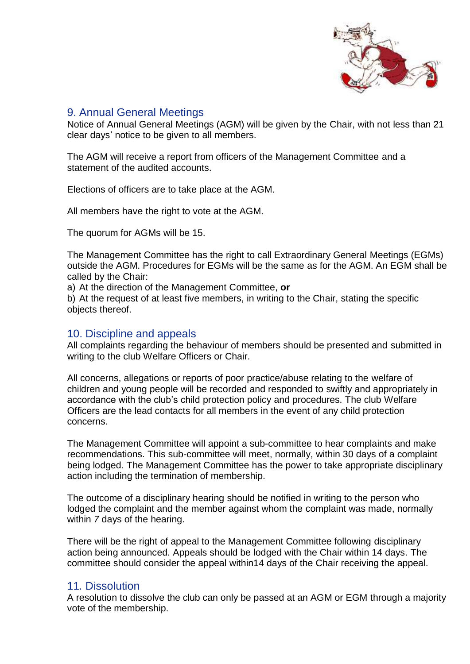

#### 9. Annual General Meetings

Notice of Annual General Meetings (AGM) will be given by the Chair, with not less than 21 clear days' notice to be given to all members.

The AGM will receive a report from officers of the Management Committee and a statement of the audited accounts.

Elections of officers are to take place at the AGM.

All members have the right to vote at the AGM.

The quorum for AGMs will be 15.

The Management Committee has the right to call Extraordinary General Meetings (EGMs) outside the AGM. Procedures for EGMs will be the same as for the AGM. An EGM shall be called by the Chair:

a) At the direction of the Management Committee, **or**

b) At the request of at least five members, in writing to the Chair, stating the specific objects thereof.

#### 10. Discipline and appeals

All complaints regarding the behaviour of members should be presented and submitted in writing to the club Welfare Officers or Chair.

All concerns, allegations or reports of poor practice/abuse relating to the welfare of children and young people will be recorded and responded to swiftly and appropriately in accordance with the club's child protection policy and procedures. The club Welfare Officers are the lead contacts for all members in the event of any child protection concerns.

The Management Committee will appoint a sub-committee to hear complaints and make recommendations. This sub-committee will meet, normally, within 30 days of a complaint being lodged. The Management Committee has the power to take appropriate disciplinary action including the termination of membership.

The outcome of a disciplinary hearing should be notified in writing to the person who lodged the complaint and the member against whom the complaint was made, normally within *7* days of the hearing.

There will be the right of appeal to the Management Committee following disciplinary action being announced. Appeals should be lodged with the Chair within 14 days. The committee should consider the appeal within14 days of the Chair receiving the appeal.

#### 11*.* Dissolution

A resolution to dissolve the club can only be passed at an AGM or EGM through a majority vote of the membership.